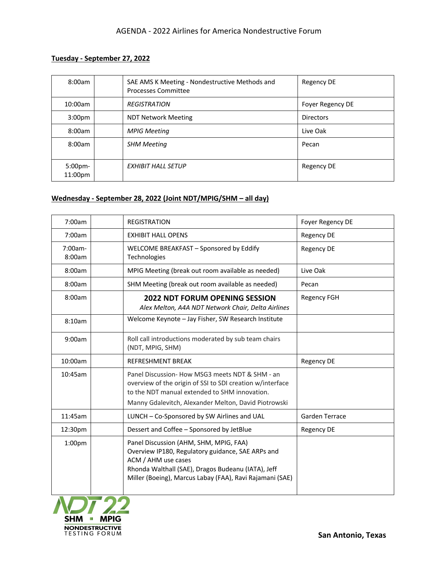## **Tuesday - September 27, 2022**

| 8:00am                        | SAE AMS K Meeting - Nondestructive Methods and<br>Processes Committee | Regency DE       |
|-------------------------------|-----------------------------------------------------------------------|------------------|
| 10:00am                       | <b>REGISTRATION</b>                                                   | Foyer Regency DE |
| 3:00 <sub>pm</sub>            | <b>NDT Network Meeting</b>                                            | <b>Directors</b> |
| 8:00am                        | <b>MPIG Meeting</b>                                                   | Live Oak         |
| 8:00am                        | <b>SHM Meeting</b>                                                    | Pecan            |
| 5:00 <sub>pm</sub><br>11:00pm | EXHIBIT HALL SETUP                                                    | Regency DE       |

## **Wednesday - September 28, 2022 (Joint NDT/MPIG/SHM – all day)**

| 7:00am             | <b>REGISTRATION</b>                                                                                                                                                                                                                  | Foyer Regency DE   |
|--------------------|--------------------------------------------------------------------------------------------------------------------------------------------------------------------------------------------------------------------------------------|--------------------|
| 7:00am             | <b>EXHIBIT HALL OPENS</b>                                                                                                                                                                                                            | <b>Regency DE</b>  |
| 7:00am-<br>8:00am  | WELCOME BREAKFAST - Sponsored by Eddify<br>Technologies                                                                                                                                                                              | <b>Regency DE</b>  |
| 8:00am             | MPIG Meeting (break out room available as needed)                                                                                                                                                                                    | Live Oak           |
| 8:00am             | SHM Meeting (break out room available as needed)                                                                                                                                                                                     | Pecan              |
| 8:00am             | <b>2022 NDT FORUM OPENING SESSION</b><br>Alex Melton, A4A NDT Network Chair, Delta Airlines                                                                                                                                          | <b>Regency FGH</b> |
| 8:10am             | Welcome Keynote - Jay Fisher, SW Research Institute                                                                                                                                                                                  |                    |
| 9:00am             | Roll call introductions moderated by sub team chairs<br>(NDT, MPIG, SHM)                                                                                                                                                             |                    |
| 10:00am            | <b>REFRESHMENT BREAK</b>                                                                                                                                                                                                             | <b>Regency DE</b>  |
| 10:45am            | Panel Discussion- How MSG3 meets NDT & SHM - an<br>overview of the origin of SSI to SDI creation w/interface<br>to the NDT manual extended to SHM innovation.<br>Manny Gdalevitch, Alexander Melton, David Piotrowski                |                    |
| 11:45am            | LUNCH - Co-Sponsored by SW Airlines and UAL                                                                                                                                                                                          | Garden Terrace     |
| 12:30pm            | Dessert and Coffee - Sponsored by JetBlue                                                                                                                                                                                            | <b>Regency DE</b>  |
| 1:00 <sub>pm</sub> | Panel Discussion (AHM, SHM, MPIG, FAA)<br>Overview IP180, Regulatory guidance, SAE ARPs and<br>ACM / AHM use cases<br>Rhonda Walthall (SAE), Dragos Budeanu (IATA), Jeff<br>Miller (Boeing), Marcus Labay (FAA), Ravi Rajamani (SAE) |                    |
|                    |                                                                                                                                                                                                                                      |                    |

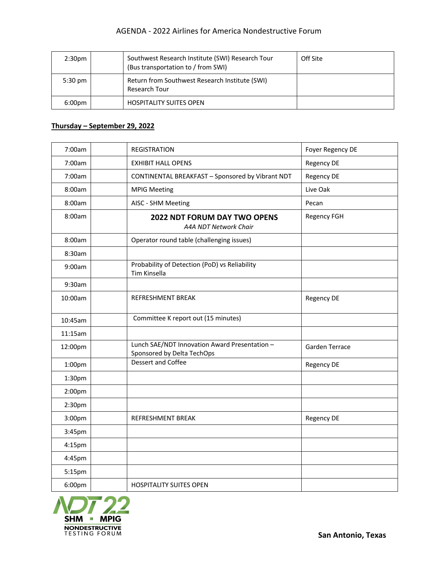| 2:30 <sub>pm</sub> | Southwest Research Institute (SWI) Research Tour<br>(Bus transportation to / from SWI) | Off Site |
|--------------------|----------------------------------------------------------------------------------------|----------|
| $5:30 \text{ pm}$  | Return from Southwest Research Institute (SWI)<br>Research Tour                        |          |
| 6:00 <sub>pm</sub> | <b>HOSPITALITY SUITES OPEN</b>                                                         |          |

## **Thursday – September 29, 2022**

| 7:00am             | <b>REGISTRATION</b>            |                                                              | Foyer Regency DE   |
|--------------------|--------------------------------|--------------------------------------------------------------|--------------------|
| 7:00am             | <b>EXHIBIT HALL OPENS</b>      |                                                              | Regency DE         |
| 7:00am             |                                | CONTINENTAL BREAKFAST - Sponsored by Vibrant NDT             | Regency DE         |
| 8:00am             | <b>MPIG Meeting</b>            |                                                              | Live Oak           |
| 8:00am             | AISC - SHM Meeting             |                                                              | Pecan              |
| 8:00am             |                                | <b>2022 NDT FORUM DAY TWO OPENS</b><br>A4A NDT Network Chair | <b>Regency FGH</b> |
| 8:00am             |                                | Operator round table (challenging issues)                    |                    |
| 8:30am             |                                |                                                              |                    |
| 9:00am             | Tim Kinsella                   | Probability of Detection (PoD) vs Reliability                |                    |
| 9:30am             |                                |                                                              |                    |
| 10:00am            | REFRESHMENT BREAK              |                                                              | Regency DE         |
| 10:45am            |                                | Committee K report out (15 minutes)                          |                    |
| 11:15am            |                                |                                                              |                    |
| 12:00pm            | Sponsored by Delta TechOps     | Lunch SAE/NDT Innovation Award Presentation -                | Garden Terrace     |
| 1:00pm             | <b>Dessert and Coffee</b>      |                                                              | <b>Regency DE</b>  |
| 1:30 <sub>pm</sub> |                                |                                                              |                    |
| 2:00pm             |                                |                                                              |                    |
| 2:30pm             |                                |                                                              |                    |
| 3:00pm             | REFRESHMENT BREAK              |                                                              | <b>Regency DE</b>  |
| 3:45pm             |                                |                                                              |                    |
| 4:15pm             |                                |                                                              |                    |
| 4:45pm             |                                |                                                              |                    |
| 5:15pm             |                                |                                                              |                    |
| 6:00pm             | <b>HOSPITALITY SUITES OPEN</b> |                                                              |                    |